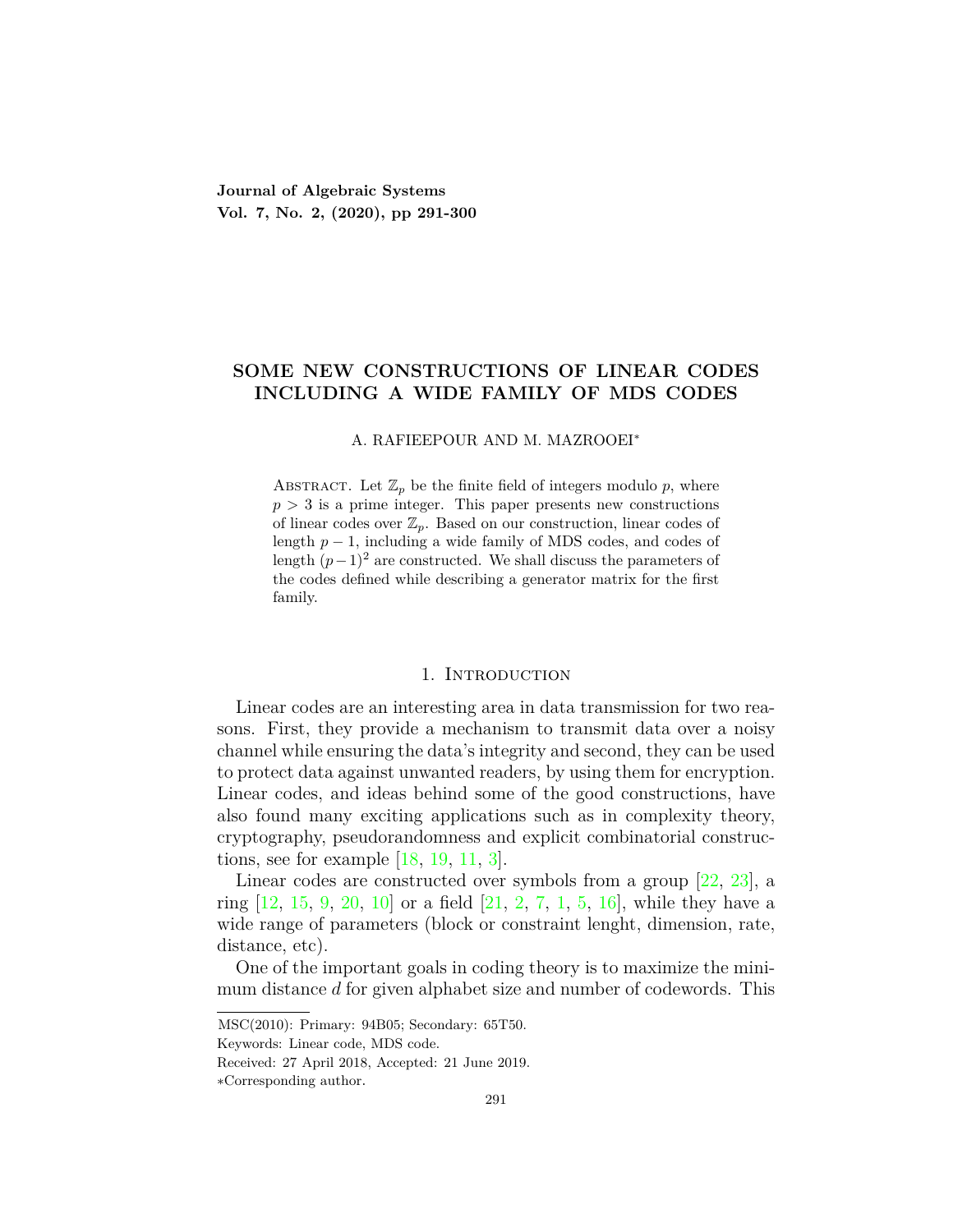**Journal of Algebraic Systems Vol. 7, No. 2, (2020), pp 291-300**

# **SOME NEW CONSTRUCTIONS OF LINEAR CODES INCLUDING A WIDE FAMILY OF MDS CODES**

#### A. RAFIEEPOUR AND M. MAZROOEI*<sup>∗</sup>*

ABSTRACT. Let  $\mathbb{Z}_p$  be the finite field of integers modulo  $p$ , where  $p > 3$  is a prime integer. This paper presents new constructions of linear codes over  $\mathbb{Z}_p$ . Based on our construction, linear codes of length *p −* 1, including a wide family of MDS codes, and codes of length  $(p-1)^2$  are constructed. We shall discuss the parameters of the codes defined while describing a generator matrix for the first family.

### 1. INTRODUCTION

Linear codes are an interesting area in data transmission for two reasons. First, they provide a mechanism to transmit data over a noisy channel while ensuring the data's integrity and second, they can be used to protect data against unwanted readers, by using them for encryption. Linear codes, and ideas behind some of the good constructions, have also found many exciting applications such as in complexity theory, cryptography, pseudorandomness and explicit combinatorial constructions, see for example [\[18](#page-8-0), [19,](#page-8-1) [11,](#page-8-2) [3\]](#page-8-3).

Linear codes are constructed over symbols from a group [\[22,](#page-8-4) [23](#page-8-5)], a ring  $[12, 15, 9, 20, 10]$  $[12, 15, 9, 20, 10]$  $[12, 15, 9, 20, 10]$  $[12, 15, 9, 20, 10]$  $[12, 15, 9, 20, 10]$  $[12, 15, 9, 20, 10]$  $[12, 15, 9, 20, 10]$  $[12, 15, 9, 20, 10]$  $[12, 15, 9, 20, 10]$  or a field  $[21, 2, 7, 1, 5, 16]$  $[21, 2, 7, 1, 5, 16]$  $[21, 2, 7, 1, 5, 16]$  $[21, 2, 7, 1, 5, 16]$  $[21, 2, 7, 1, 5, 16]$  $[21, 2, 7, 1, 5, 16]$  $[21, 2, 7, 1, 5, 16]$  $[21, 2, 7, 1, 5, 16]$  $[21, 2, 7, 1, 5, 16]$  $[21, 2, 7, 1, 5, 16]$  $[21, 2, 7, 1, 5, 16]$  $[21, 2, 7, 1, 5, 16]$  $[21, 2, 7, 1, 5, 16]$ , while they have a wide range of parameters (block or constraint lenght, dimension, rate, distance, etc).

One of the important goals in coding theory is to maximize the minimum distance *d* for given alphabet size and number of codewords. This

MSC(2010): Primary: 94B05; Secondary: 65T50.

Keywords: Linear code, MDS code.

Received: 27 April 2018, Accepted: 21 June 2019.

*<sup>∗</sup>*Corresponding author.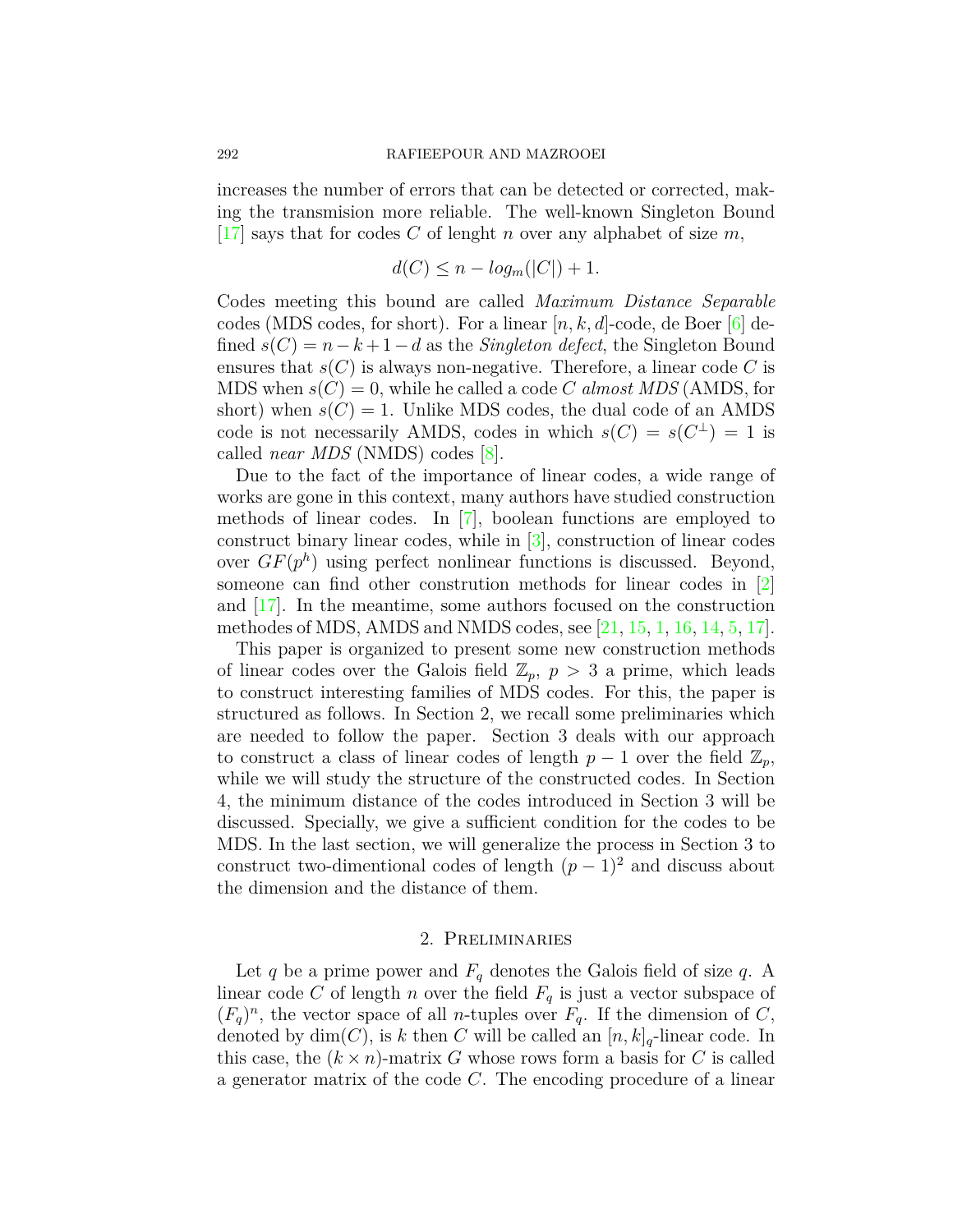increases the number of errors that can be detected or corrected, making the transmision more reliable. The well-known Singleton Bound  $\vert 17 \vert$  $\vert 17 \vert$  $\vert 17 \vert$  says that for codes *C* of lenght *n* over any alphabet of size *m*,

$$
d(C) \le n - \log_m(|C|) + 1.
$$

Codes meeting this bound are called *Maximum Distance Separable* codes (MDS codes, for short). For a linear  $[n, k, d]$ -code, de Boer  $[6]$  defined  $s(C) = n - k + 1 - d$  as the *Singleton defect*, the Singleton Bound ensures that  $s(C)$  is always non-negative. Therefore, a linear code C is MDS when  $s(C) = 0$ , while he called a code *C almost MDS* (AMDS, for short) when  $s(C) = 1$ . Unlike MDS codes, the dual code of an AMDS code is not necessarily AMDS, codes in which  $s(C) = s(C^{\perp}) = 1$  is called *near MDS* (NMDS) codes [[8\]](#page-8-18).

Due to the fact of the importance of linear codes, a wide range of works are gone in this context, many authors have studied construction methods of linear codes. In [[7\]](#page-8-13), boolean functions are employed to construct binary linear codes, while in [[3\]](#page-8-3), construction of linear codes over  $GF(p^h)$  using perfect nonlinear functions is discussed. Beyond, someone can find other constrution methods for linear codes in [\[2\]](#page-8-12) and [[17\]](#page-8-16). In the meantime, some authors focused on the construction methodes of MDS, AMDS and NMDS codes, see [\[21,](#page-8-11) [15](#page-8-7), [1](#page-7-0), [16,](#page-8-15) [14](#page-8-19), [5](#page-8-14), [17\]](#page-8-16).

This paper is organized to present some new construction methods of linear codes over the Galois field  $\mathbb{Z}_p$ ,  $p > 3$  a prime, which leads to construct interesting families of MDS codes. For this, the paper is structured as follows. In Section 2, we recall some preliminaries which are needed to follow the paper. Section 3 deals with our approach to construct a class of linear codes of length  $p-1$  over the field  $\mathbb{Z}_p$ , while we will study the structure of the constructed codes. In Section 4, the minimum distance of the codes introduced in Section 3 will be discussed. Specially, we give a sufficient condition for the codes to be MDS. In the last section, we will generalize the process in Section 3 to construct two-dimentional codes of length  $(p-1)^2$  and discuss about the dimension and the distance of them.

## 2. Preliminaries

Let  $q$  be a prime power and  $F_q$  denotes the Galois field of size  $q$ . A linear code *C* of length *n* over the field  $F_q$  is just a vector subspace of  $(F_q)^n$ , the vector space of all *n*-tuples over  $F_q$ . If the dimension of *C*, denoted by  $\dim(C)$ , is k then C will be called an  $[n, k]_q$ -linear code. In this case, the  $(k \times n)$ -matrix *G* whose rows form a basis for *C* is called a generator matrix of the code *C*. The encoding procedure of a linear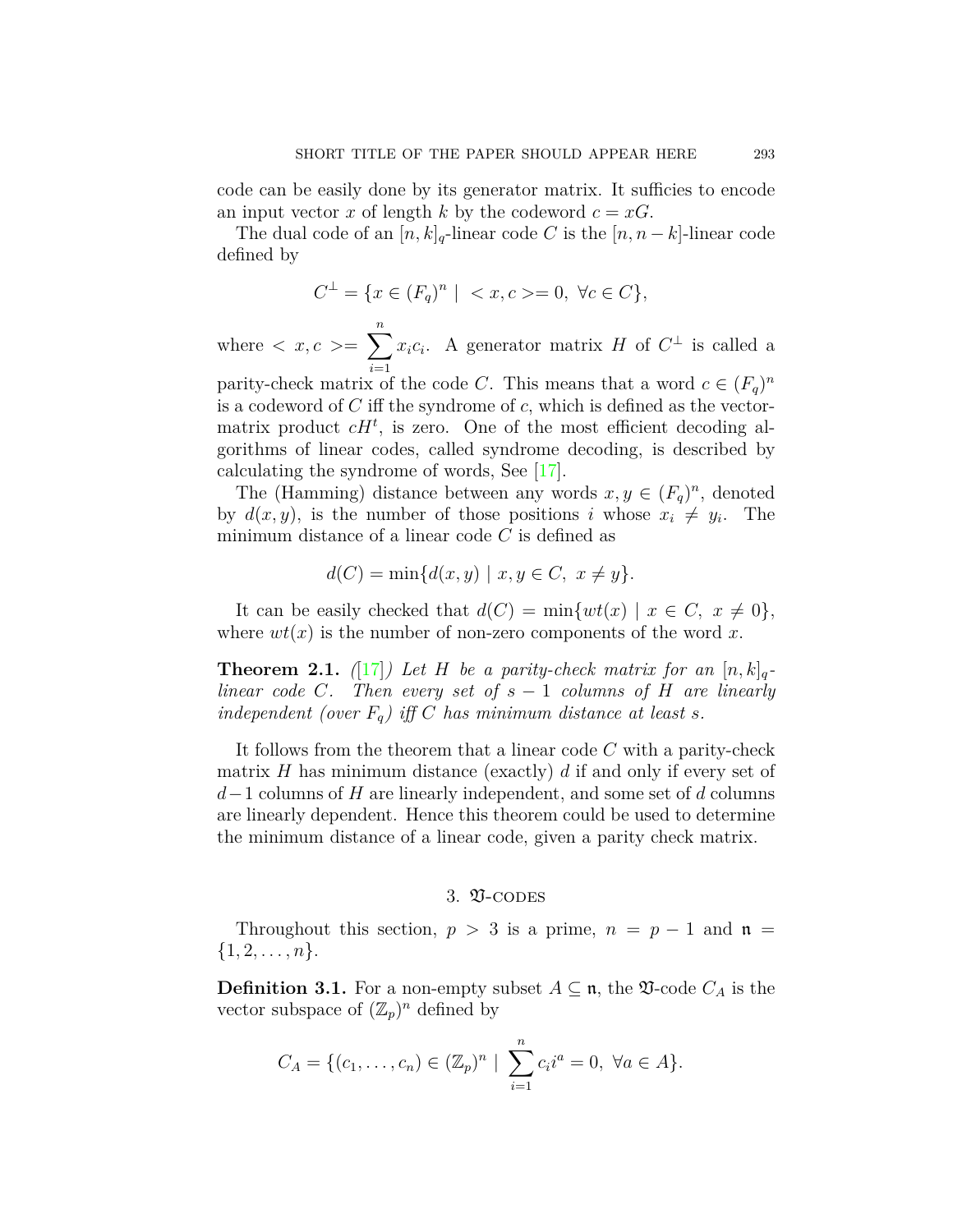code can be easily done by its generator matrix. It sufficies to encode an input vector *x* of length *k* by the codeword  $c = xG$ .

The dual code of an  $[n, k]_q$ -linear code *C* is the  $[n, n-k]$ -linear code defined by

$$
C^{\perp} = \{ x \in (F_q)^n \mid \langle x, c \rangle = 0, \ \forall c \in C \},
$$

where  $\langle x, c \rangle = \sum_{n=0}^{\infty}$ *i*=1  $x_i c_i$ . A generator matrix *H* of  $C^{\perp}$  is called a parity-check matrix of the code *C*. This means that a word  $c \in (F_q)^n$ is a codeword of *C* iff the syndrome of *c*, which is defined as the vectormatrix product  $cH<sup>t</sup>$ , is zero. One of the most efficient decoding algorithms of linear codes, called syndrome decoding, is described by calculating the syndrome of words, See [\[17\]](#page-8-16).

The (Hamming) distance between any words  $x, y \in (F_q)^n$ , denoted by  $d(x, y)$ , is the number of those positions *i* whose  $x_i \neq y_i$ . The minimum distance of a linear code *C* is defined as

$$
d(C) = \min\{d(x, y) \mid x, y \in C, x \neq y\}.
$$

It can be easily checked that  $d(C) = \min\{wt(x) \mid x \in C, x \neq 0\},\$ where  $wt(x)$  is the number of non-zero components of the word x.

**Theorem 2.1.** ([\[17](#page-8-16)]) Let H be a parity-check matrix for an  $[n, k]_q$ *linear code C*. Then every set of  $s - 1$  *columns of*  $H$  *are linearly independent (over*  $F_q$ *) iff C has minimum distance at least s.* 

It follows from the theorem that a linear code *C* with a parity-check matrix *H* has minimum distance (exactly) *d* if and only if every set of *d−*1 columns of *H* are linearly independent, and some set of *d* columns are linearly dependent. Hence this theorem could be used to determine the minimum distance of a linear code, given a parity check matrix.

# 3. **V-CODES**

Throughout this section,  $p > 3$  is a prime,  $n = p - 1$  and  $\mathfrak{n} =$  $\{1, 2, \ldots, n\}.$ 

**Definition 3.1.** For a non-empty subset  $A \subseteq \mathfrak{n}$ , the  $\mathfrak{V}$ -code  $C_A$  is the vector subspace of  $(\mathbb{Z}_p)^n$  defined by

$$
C_A = \{ (c_1, \ldots, c_n) \in (\mathbb{Z}_p)^n \mid \sum_{i=1}^n c_i i^a = 0, \ \forall a \in A \}.
$$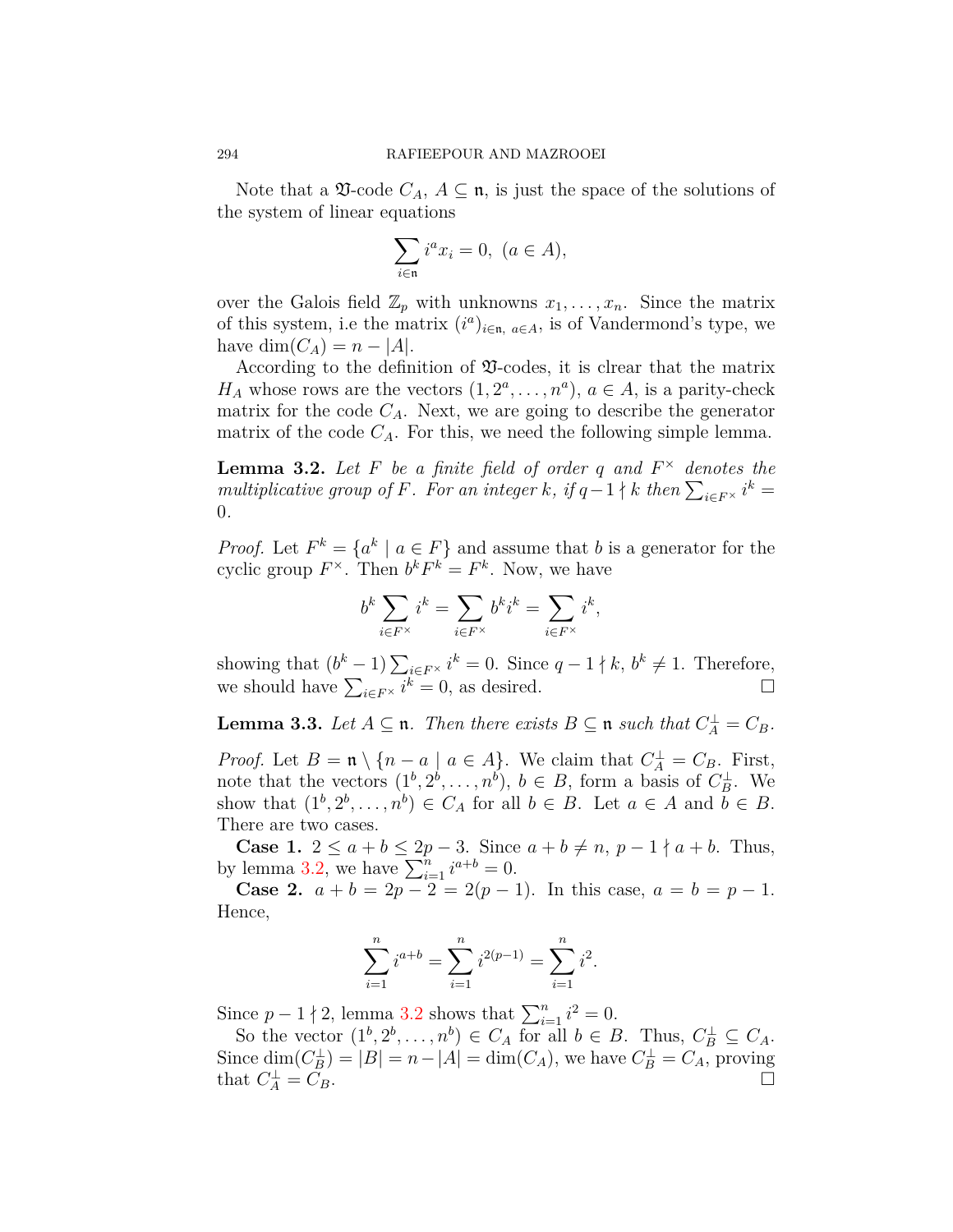Note that a  $\mathfrak V$ -code  $C_A$ ,  $A \subseteq \mathfrak n$ , is just the space of the solutions of the system of linear equations

$$
\sum_{i \in \mathfrak{n}} i^a x_i = 0, \ (a \in A),
$$

over the Galois field  $\mathbb{Z}_p$  with unknowns  $x_1, \ldots, x_n$ . Since the matrix of this system, i.e the matrix  $(i^a)_{i \in \mathfrak{n}, a \in A}$ , is of Vandermond's type, we  $h$ ave  $dim(C_A) = n - |A|$ .

According to the definition of  $\mathfrak$ -codes, it is clrear that the matrix *H<sub>A</sub>* whose rows are the vectors  $(1, 2^a, \ldots, n^a)$ ,  $a \in A$ , is a parity-check matrix for the code  $C_A$ . Next, we are going to describe the generator matrix of the code  $C_A$ . For this, we need the following simple lemma.

<span id="page-3-0"></span>**Lemma 3.2.** *Let F be a finite field of order q and F <sup>×</sup> denotes the multiplicative group of F. For an integer k, if*  $q-1 \nmid k$  *then*  $\sum_{i \in F^\times} i^k =$ 0*.*

*Proof.* Let  $F^k = \{a^k \mid a \in F\}$  and assume that *b* is a generator for the cyclic group  $F^{\times}$ . Then  $b^k F^k = F^k$ . Now, we have

$$
b^k \sum_{i \in F^\times} i^k = \sum_{i \in F^\times} b^k i^k = \sum_{i \in F^\times} i^k,
$$

showing that  $(b^k - 1) \sum_{i \in F^\times} i^k = 0$ . Since  $q - 1 \nmid k, b^k \neq 1$ . Therefore, we should have  $\sum_{i \in F^\times} i^k = 0$ , as desired. □

**Lemma 3.3.** *Let*  $A \subseteq \mathfrak{n}$ *. Then there exists*  $B \subseteq \mathfrak{n}$  *such that*  $C_A^{\perp} = C_B$ *.* 

*Proof.* Let  $B = \mathfrak{n} \setminus \{n - a \mid a \in A\}$ . We claim that  $C_A^{\perp} = C_B$ . First, note that the vectors  $(1^b, 2^b, \ldots, n^b)$ ,  $b \in B$ , form a basis of  $C_B^{\perp}$ . We show that  $(1^b, 2^b, \ldots, n^b) \in C_A$  for all  $b \in B$ . Let  $a \in A$  and  $b \in B$ . There are two cases.

**Case 1.** 2 ≤ *a* + *b* ≤ 2*p* − 3. Since *a* + *b* ≠ *n*, *p* − 1  $\nmid$  *a* + *b*. Thus, by lemma [3.2](#page-3-0), we have  $\sum_{i=1}^{n} i^{a+b} = 0$ .

**Case 2.**  $a + b = 2p - 2 = 2(p - 1)$ . In this case,  $a = b = p - 1$ . Hence,

$$
\sum_{i=1}^{n} i^{a+b} = \sum_{i=1}^{n} i^{2(p-1)} = \sum_{i=1}^{n} i^{2}.
$$

Since  $p - 1 \nmid 2$ , lemma [3.2](#page-3-0) shows that  $\sum_{i=1}^{n} i^2 = 0$ .

So the vector  $(1^b, 2^b, \ldots, n^b) \in C_A$  for all  $b \in B$ . Thus,  $C_B^{\perp} \subseteq C_A$ . Since  $\dim(C_B^{\perp}) = |B| = n - |A| = \dim(C_A)$ , we have  $C_B^{\perp} = C_A$ , proving that  $C_A^{\perp} = C_B$ .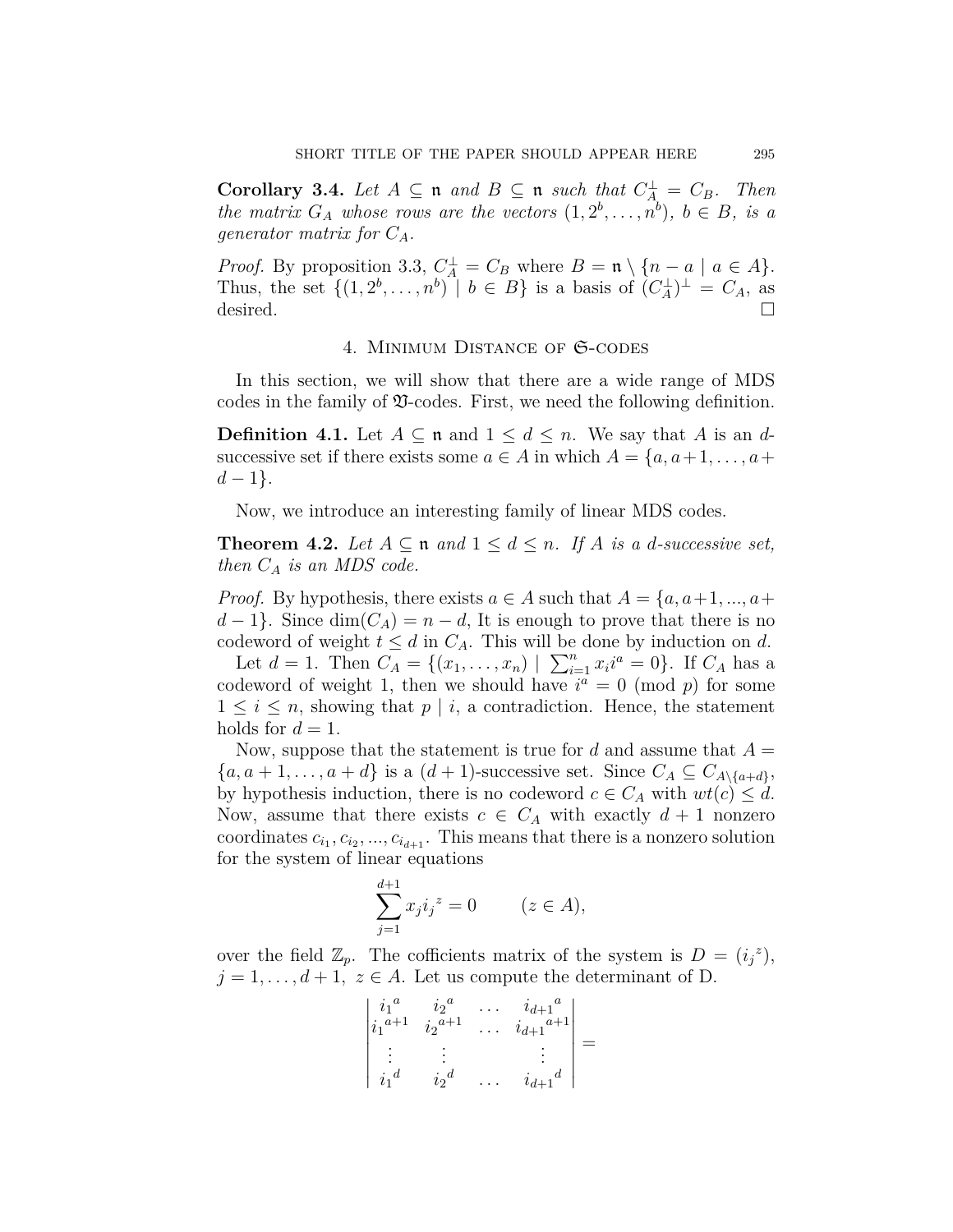**Corollary 3.4.** *Let*  $A \subseteq \mathfrak{n}$  *and*  $B \subseteq \mathfrak{n}$  *such that*  $C_A^{\perp} = C_B$ *. Then the matrix*  $G_A$  *whose rows are the vectors*  $(1, 2^b, \ldots, n^b)$ ,  $b \in B$ , *is a generator matrix for CA.*

*Proof.* By proposition 3.3,  $C_A^{\perp} = C_B$  where  $B = \mathfrak{n} \setminus \{n - a \mid a \in A\}.$ Thus, the set  $\{(1, 2^b, \ldots, n^b) \mid b \in B\}$  is a basis of  $(C_A^{\perp})^{\perp} = C_A$ , as desired.  $\Box$ 

## 4. Minimum Distance of S-codes

In this section, we will show that there are a wide range of MDS codes in the family of  $\mathfrak$ -codes. First, we need the following definition.

**Definition 4.1.** Let  $A \subseteq \mathfrak{n}$  and  $1 \leq d \leq n$ . We say that *A* is an *d*successive set if there exists some  $a \in A$  in which  $A = \{a, a+1, \ldots, a+\}$ *d −* 1*}*.

Now, we introduce an interesting family of linear MDS codes.

**Theorem 4.2.** Let  $A \subseteq \mathfrak{n}$  and  $1 \leq d \leq n$ . If  $A$  is a d-successive set, *then C<sup>A</sup> is an MDS code.*

*Proof.* By hypothesis, there exists  $a \in A$  such that  $A = \{a, a+1, ..., a+\}$  $d-1$ }. Since  $\dim(C_A) = n-d$ , It is enough to prove that there is no codeword of weight  $t \leq d$  in  $C_A$ . This will be done by induction on *d*.

Let  $d = 1$ . Then  $C_A = \{(x_1, \ldots, x_n) | \sum_{i=1}^n x_i i^a = 0\}$ . If  $C_A$  has a codeword of weight 1, then we should have  $i^a = 0 \pmod{p}$  for some  $1 \leq i \leq n$ , showing that  $p \mid i$ , a contradiction. Hence, the statement holds for  $d = 1$ .

Now, suppose that the statement is true for *d* and assume that  $A =$  $\{a, a+1, \ldots, a+d\}$  is a  $(d+1)$ -successive set. Since  $C_A \subseteq C_{A \setminus \{a+d\}}$ , by hypothesis induction, there is no codeword  $c \in C_A$  with  $wt(c) \leq d$ . Now, assume that there exists  $c \in C_A$  with exactly  $d+1$  nonzero coordinates  $c_{i_1}, c_{i_2}, ..., c_{i_{d+1}}$ . This means that there is a nonzero solution for the system of linear equations

$$
\sum_{j=1}^{d+1} x_j i_j^z = 0 \qquad (z \in A),
$$

over the field  $\mathbb{Z}_p$ . The cofficients matrix of the system is  $D = (i_j^z)$ ,  $j = 1, \ldots, d + 1, z \in A$ . Let us compute the determinant of D.

| $\begin{vmatrix} i_1^a \\ i_1^{a+1} \end{vmatrix}$ | $i_2{}^a$<br>$i_2$ <sup><math>a+1</math></sup> | $\frac{i_{d+1}^{a}}{i_{d+1}^{a+1}}$ |  |
|----------------------------------------------------|------------------------------------------------|-------------------------------------|--|
| $i_1{}^d$                                          | $i_2{}^d$                                      | $i_{d+1}^{\ d}$                     |  |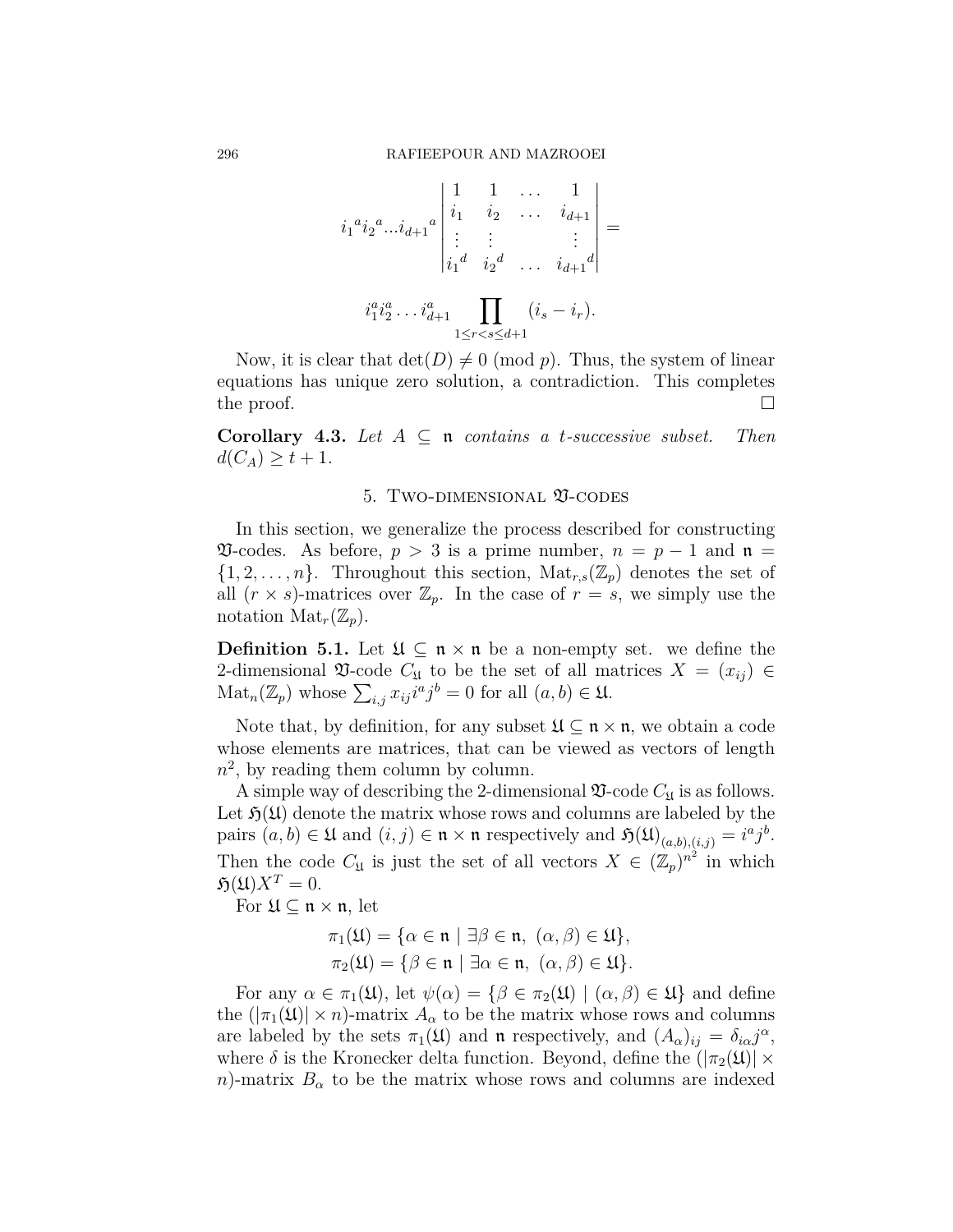$$
i_1^{a} i_2^{a} \dots i_{d+1}^{a} \begin{vmatrix} 1 & 1 & \dots & 1 \\ i_1 & i_2 & \dots & i_{d+1} \\ \vdots & \vdots & & \vdots \\ i_1^{d} & i_2^{d} & \dots & i_{d+1}^{d} \end{vmatrix} = i_1^{a} i_2^{a} \dots i_{d+1}^{a} \dots i_{1 \leq r < s \leq d+1}
$$

Now, it is clear that  $\det(D) \neq 0 \pmod{p}$ . Thus, the system of linear equations has unique zero solution, a contradiction. This completes the proof.  $\Box$ 

**Corollary 4.3.** *Let*  $A \subseteq \mathfrak{n}$  *contains a t-successive subset. Then*  $d(C_A) \geq t + 1$ *.* 

### 5. Two-dimensional V-codes

In this section, we generalize the process described for constructing  $\mathfrak{V}\text{-codes.}$  As before,  $p > 3$  is a prime number,  $n = p - 1$  and  $\mathfrak{n} =$  $\{1, 2, \ldots, n\}$ . Throughout this section,  $\text{Mat}_{r,s}(\mathbb{Z}_p)$  denotes the set of all  $(r \times s)$ -matrices over  $\mathbb{Z}_p$ . In the case of  $r = s$ , we simply use the notation  $\text{Mat}_r(\mathbb{Z}_p)$ .

**Definition 5.1.** Let  $\mathfrak{U} \subseteq \mathfrak{n} \times \mathfrak{n}$  be a non-empty set. we define the 2-dimensional  $\mathfrak V$ -code  $C_{\mathfrak U}$  to be the set of all matrices  $X = (x_{ij}) \in$  $\text{Mat}_n(\mathbb{Z}_p)$  whose  $\sum_{i,j} x_{ij} i^a j^b = 0$  for all  $(a, b) \in \mathfrak{U}$ .

Note that, by definition, for any subset  $\mathfrak{U} \subseteq \mathfrak{n} \times \mathfrak{n}$ , we obtain a code whose elements are matrices, that can be viewed as vectors of length  $n^2$ , by reading them column by column.

A simple way of describing the 2-dimensional  $\mathfrak{V}\text{-code }C_{\mathfrak{U}}$  is as follows. Let  $\mathfrak{H}(\mathfrak{U})$  denote the matrix whose rows and columns are labeled by the pairs  $(a, b) \in \mathfrak{U}$  and  $(i, j) \in \mathfrak{n} \times \mathfrak{n}$  respectively and  $\mathfrak{H}(\mathfrak{U})_{(a,b),(i,j)} = i^a j^b$ . Then the code  $C_{\mathfrak{U}}$  is just the set of all vectors  $X \in (\mathbb{Z}_p)^{n^2}$  in which  $\mathfrak{H}(\mathfrak{U})X^T=0.$ 

For U *⊆* n *×* n, let

$$
\pi_1(\mathfrak{U}) = \{ \alpha \in \mathfrak{n} \mid \exists \beta \in \mathfrak{n}, \ (\alpha, \beta) \in \mathfrak{U} \},
$$

$$
\pi_2(\mathfrak{U}) = \{ \beta \in \mathfrak{n} \mid \exists \alpha \in \mathfrak{n}, \ (\alpha, \beta) \in \mathfrak{U} \}.
$$

For any  $\alpha \in \pi_1(\mathfrak{U})$ , let  $\psi(\alpha) = {\beta \in \pi_2(\mathfrak{U}) \mid (\alpha, \beta) \in \mathfrak{U}}$  and define the  $(|\pi_1(\mathfrak{U})| \times n)$ -matrix  $A_\alpha$  to be the matrix whose rows and columns are labeled by the sets  $\pi_1(\mathfrak{U})$  and  $\mathfrak{n}$  respectively, and  $(A_\alpha)_{ij} = \delta_{i\alpha} j^\alpha$ , where  $\delta$  is the Kronecker delta function. Beyond, define the  $(|\pi_2(\mathfrak{U})| \times$ *n*)-matrix  $B_{\alpha}$  to be the matrix whose rows and columns are indexed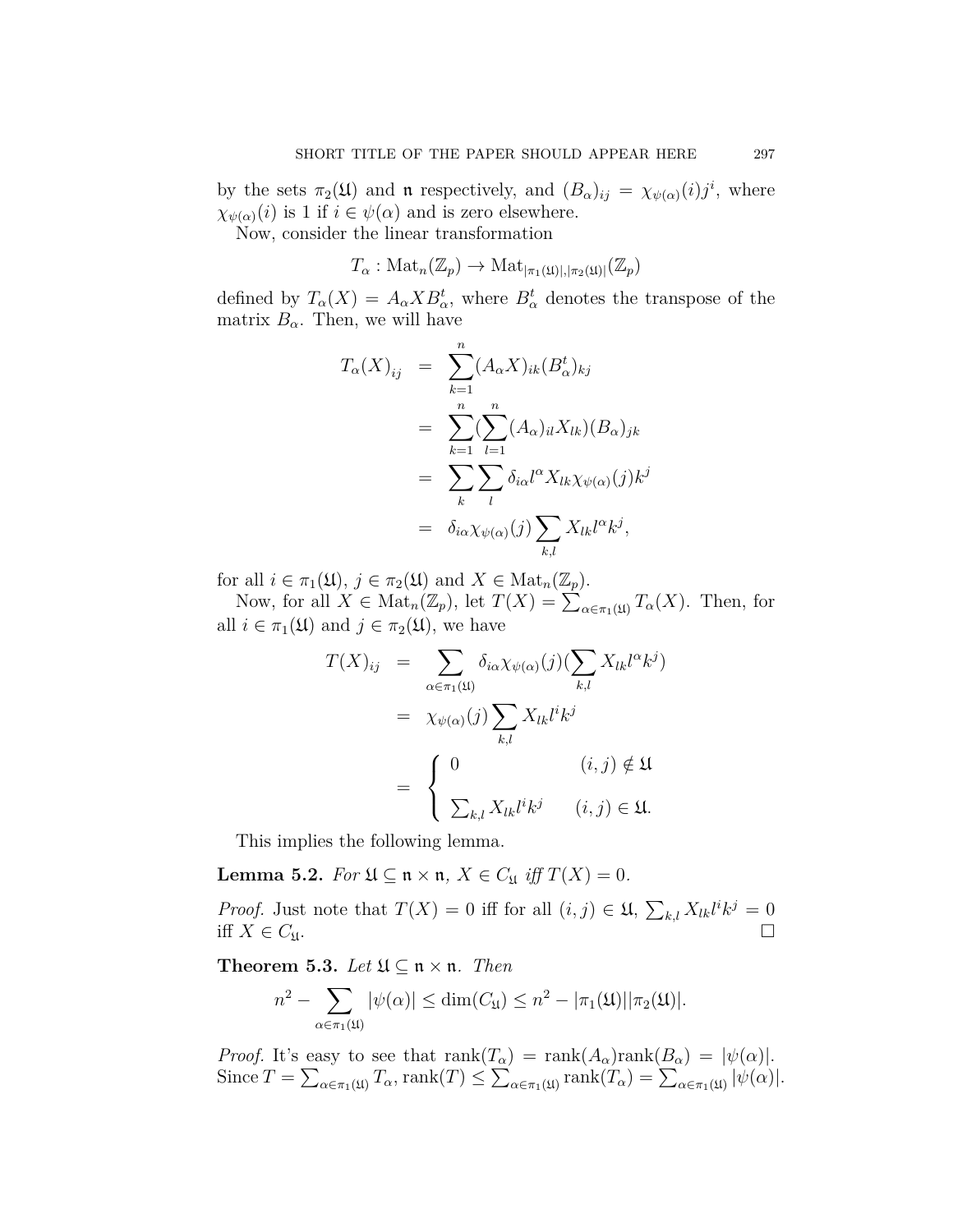by the sets  $\pi_2(\mathfrak{U})$  and **n** respectively, and  $(B_\alpha)_{ij} = \chi_{\psi(\alpha)}(i)j^i$ , where  $\chi_{\psi(\alpha)}(i)$  is 1 if  $i \in \psi(\alpha)$  and is zero elsewhere.

Now, consider the linear transformation

$$
T_{\alpha} : \mathrm{Mat}_n(\mathbb{Z}_p) \to \mathrm{Mat}_{|\pi_1(\mathfrak{U})|, |\pi_2(\mathfrak{U})|}(\mathbb{Z}_p)
$$

defined by  $T_{\alpha}(X) = A_{\alpha} X B_{\alpha}^{t}$ , where  $B_{\alpha}^{t}$  denotes the transpose of the matrix  $B_{\alpha}$ . Then, we will have

$$
T_{\alpha}(X)_{ij} = \sum_{k=1}^{n} (A_{\alpha}X)_{ik} (B_{\alpha}^{t})_{kj}
$$
  

$$
= \sum_{k=1}^{n} (\sum_{l=1}^{n} (A_{\alpha})_{il} X_{lk}) (B_{\alpha})_{jk}
$$
  

$$
= \sum_{k} \sum_{l} \delta_{i\alpha} l^{\alpha} X_{lk} \chi_{\psi(\alpha)}(j) k^{j}
$$
  

$$
= \delta_{i\alpha} \chi_{\psi(\alpha)}(j) \sum_{k,l} X_{lk} l^{\alpha} k^{j},
$$

for all  $i \in \pi_1(\mathfrak{U}), j \in \pi_2(\mathfrak{U})$  and  $X \in \text{Mat}_n(\mathbb{Z}_p)$ .

Now, for all  $X \in Mat_n(\mathbb{Z}_p)$ , let  $T(X) = \sum_{\alpha \in \pi_1(\mathfrak{U})} T_\alpha(X)$ . Then, for all  $i \in \pi_1(\mathfrak{U})$  and  $j \in \pi_2(\mathfrak{U})$ , we have

$$
T(X)_{ij} = \sum_{\alpha \in \pi_1(\mathfrak{U})} \delta_{i\alpha} \chi_{\psi(\alpha)}(j) (\sum_{k,l} X_{lk} l^{\alpha} k^j)
$$
  

$$
= \chi_{\psi(\alpha)}(j) \sum_{k,l} X_{lk} l^i k^j
$$
  

$$
= \begin{cases} 0 & (i,j) \notin \mathfrak{U} \\ \sum_{k,l} X_{lk} l^i k^j & (i,j) \in \mathfrak{U}. \end{cases}
$$

This implies the following lemma.

**Lemma 5.2.** *For*  $\mathfrak{U} \subseteq \mathfrak{n} \times \mathfrak{n}$ *,*  $X \in C_{\mathfrak{U}}$  *iff*  $T(X) = 0$ *.* 

*Proof.* Just note that  $T(X) = 0$  iff for all  $(i, j) \in \mathfrak{U}, \sum_{k,l} X_{lk} l^i k^j = 0$ iff  $X \in C_{\mathfrak{U}}$ .

**Theorem 5.3.** *Let*  $\mathfrak{U} \subseteq \mathfrak{n} \times \mathfrak{n}$ *. Then* 

$$
n^2 - \sum_{\alpha \in \pi_1(\mathfrak{U})} |\psi(\alpha)| \le \dim(C_{\mathfrak{U}}) \le n^2 - |\pi_1(\mathfrak{U})| |\pi_2(\mathfrak{U})|.
$$

*Proof.* It's easy to see that  $\text{rank}(T_\alpha) = \text{rank}(A_\alpha)\text{rank}(B_\alpha) = |\psi(\alpha)|$ .  $\text{Since } T = \sum_{\alpha \in \pi_1(\mathfrak{U})} T_\alpha \text{, } \text{rank}(T) \leq \sum_{\alpha \in \pi_1(\mathfrak{U})} \text{rank}(T_\alpha) = \sum_{\alpha \in \pi_1(\mathfrak{U})} |\psi(\alpha)|.$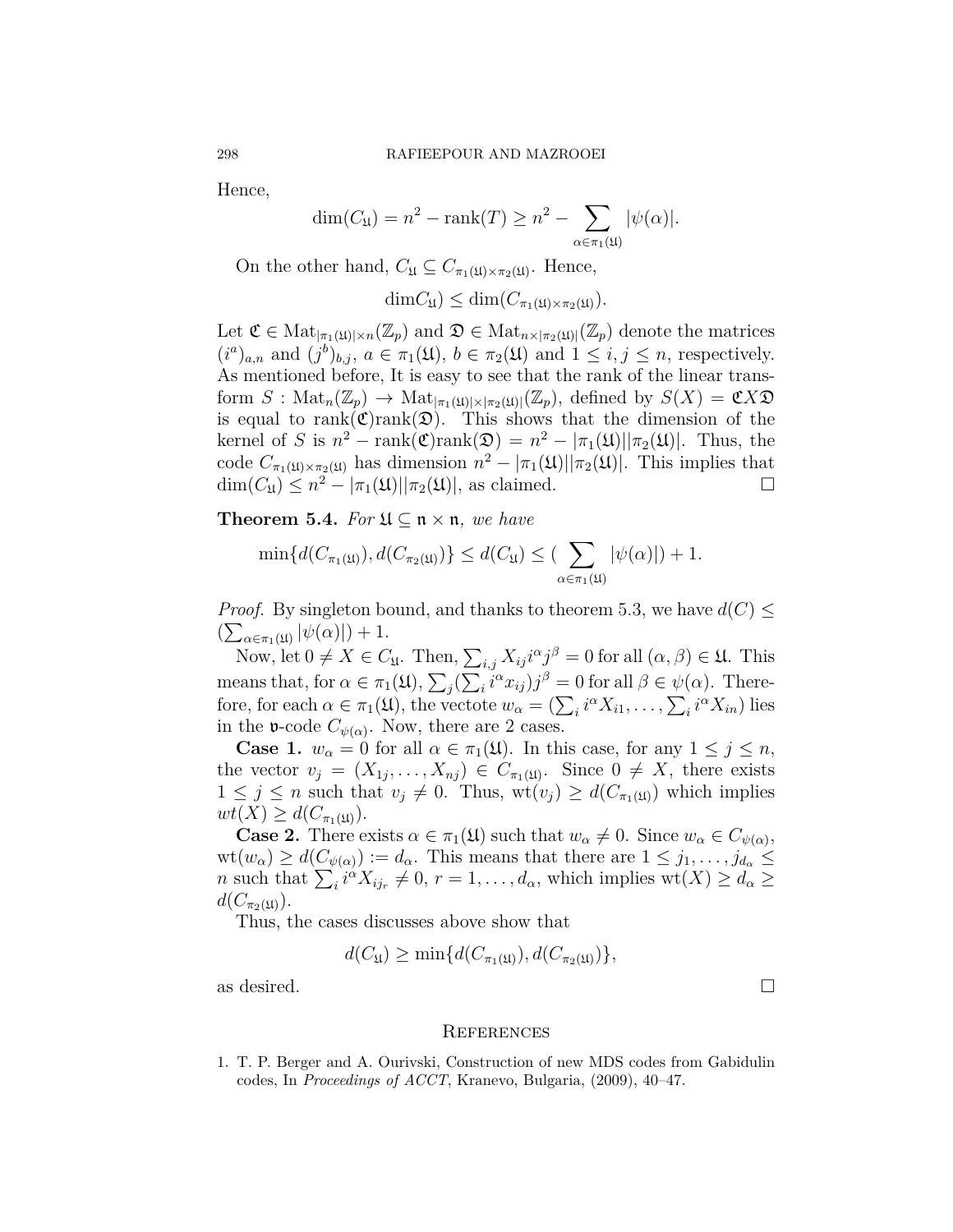Hence,

$$
\dim(C_{\mathfrak{U}}) = n^2 - \operatorname{rank}(T) \ge n^2 - \sum_{\alpha \in \pi_1(\mathfrak{U})} |\psi(\alpha)|.
$$

On the other hand,  $C_{\mathfrak{U}} \subseteq C_{\pi_1(\mathfrak{U}) \times \pi_2(\mathfrak{U})}$ . Hence,

$$
\dim C_{\mathfrak{U}}) \leq \dim (C_{\pi_1(\mathfrak{U}) \times \pi_2(\mathfrak{U})}).
$$

Let  $\mathfrak{C} \in \mathrm{Mat}_{|\pi_1(\mathfrak{U})| \times n}(\mathbb{Z}_p)$  and  $\mathfrak{D} \in \mathrm{Mat}_{n \times |\pi_2(\mathfrak{U})|}(\mathbb{Z}_p)$  denote the matrices  $(i^{a})_{a,n}$  and  $(j^{b})_{b,j}$ ,  $a \in \pi_{1}(\mathfrak{U}), b \in \pi_{2}(\mathfrak{U})$  and  $1 \leq i, j \leq n$ , respectively. As mentioned before, It is easy to see that the rank of the linear transform  $S: \text{Mat}_n(\mathbb{Z}_p) \to \text{Mat}_{|\pi_1(\mathfrak{U})| \times |\pi_2(\mathfrak{U})|}(\mathbb{Z}_p)$ , defined by  $S(X) = \mathfrak{C} X \mathfrak{D}$ is equal to  $rank(\mathfrak{C})rank(\mathfrak{D})$ . This shows that the dimension of the kernel of *S* is  $n^2 - \text{rank}(\mathfrak{C})\text{rank}(\mathfrak{D}) = n^2 - |\pi_1(\mathfrak{U})||\pi_2(\mathfrak{U})|$ . Thus, the code  $C_{\pi_1(\mathfrak{U})\times\pi_2(\mathfrak{U})}$  has dimension  $n^2 - |\pi_1(\mathfrak{U})||\pi_2(\mathfrak{U})|$ . This implies that  $\dim(C_{\mathfrak{U}}) \leq n^2 - |\pi_1(\mathfrak{U})||\pi_2(\mathfrak{U})|$ , as claimed. □

**Theorem 5.4.** *For*  $\mathfrak{U} \subseteq \mathfrak{n} \times \mathfrak{n}$ *, we have* 

$$
\min\{d(C_{\pi_1(\mathfrak{U})}), d(C_{\pi_2(\mathfrak{U})})\} \leq d(C_{\mathfrak{U}}) \leq (\sum_{\alpha \in \pi_1(\mathfrak{U})} |\psi(\alpha)|) + 1.
$$

*Proof.* By singleton bound, and thanks to theorem 5.3, we have  $d(C) \leq$  $\left(\sum_{\alpha \in \pi_1(\mathfrak{U})} |\psi(\alpha)|\right) + 1.$ 

Now, let  $0 \neq X \in C_{\mathfrak{U}}$ . Then,  $\sum_{i,j} X_{ij} i^{\alpha} j^{\beta} = 0$  for all  $(\alpha, \beta) \in \mathfrak{U}$ . This means that, for  $\alpha \in \pi_1(\mathfrak{U}), \sum_j (\sum_i \tilde{i}^\alpha x_{ij}) j^\beta = 0$  for all  $\beta \in \psi(\alpha)$ . Therefore, for each  $\alpha \in \pi_1(\mathfrak{U})$ , the vectote  $w_\alpha = (\sum_i i^\alpha X_{i1}, \dots, \sum_i i^\alpha X_{in})$  lies in the **v**-code  $C_{\psi(\alpha)}$ . Now, there are 2 cases.

**Case 1.**  $w_{\alpha} = 0$  for all  $\alpha \in \pi_1(\mathfrak{U})$ . In this case, for any  $1 \leq j \leq n$ , the vector  $v_j = (X_{1j}, \ldots, X_{nj}) \in C_{\pi_1(\mathfrak{U})}$ . Since  $0 \neq X$ , there exists  $1 \leq j \leq n$  such that  $v_j \neq 0$ . Thus,  $\text{wt}(v_j) \geq d(C_{\pi_1(\mathfrak{U})})$  which implies  $wt(X) \geq d(C_{\pi_1(\mathfrak{U})}).$ 

**Case 2.** There exists  $\alpha \in \pi_1(\mathfrak{U})$  such that  $w_\alpha \neq 0$ . Since  $w_\alpha \in C_{\psi(\alpha)}$ ,  $wt(w_\alpha) \geq d(C_{\psi(\alpha)}) := d_\alpha$ . This means that there are  $1 \leq j_1, \ldots, j_{d_\alpha} \leq j_d$ *n* such that  $\sum_{i} i^{a} X_{ij_r} \neq 0$ ,  $r = 1, \ldots, d_{\alpha}$ , which implies wt $(X) \geq d_{\alpha} \geq 0$  $d(C_{\pi_2(\mathfrak{U})})$ .

Thus, the cases discusses above show that

$$
d(C_{\mathfrak{U}}) \ge \min\{d(C_{\pi_1(\mathfrak{U})}), d(C_{\pi_2(\mathfrak{U})})\},\
$$

as desired.  $\Box$ 

#### **REFERENCES**

<span id="page-7-0"></span>1. T. P. Berger and A. Ourivski, Construction of new MDS codes from Gabidulin codes, In *Proceedings of ACCT*, Kranevo, Bulgaria, (2009), 40–47.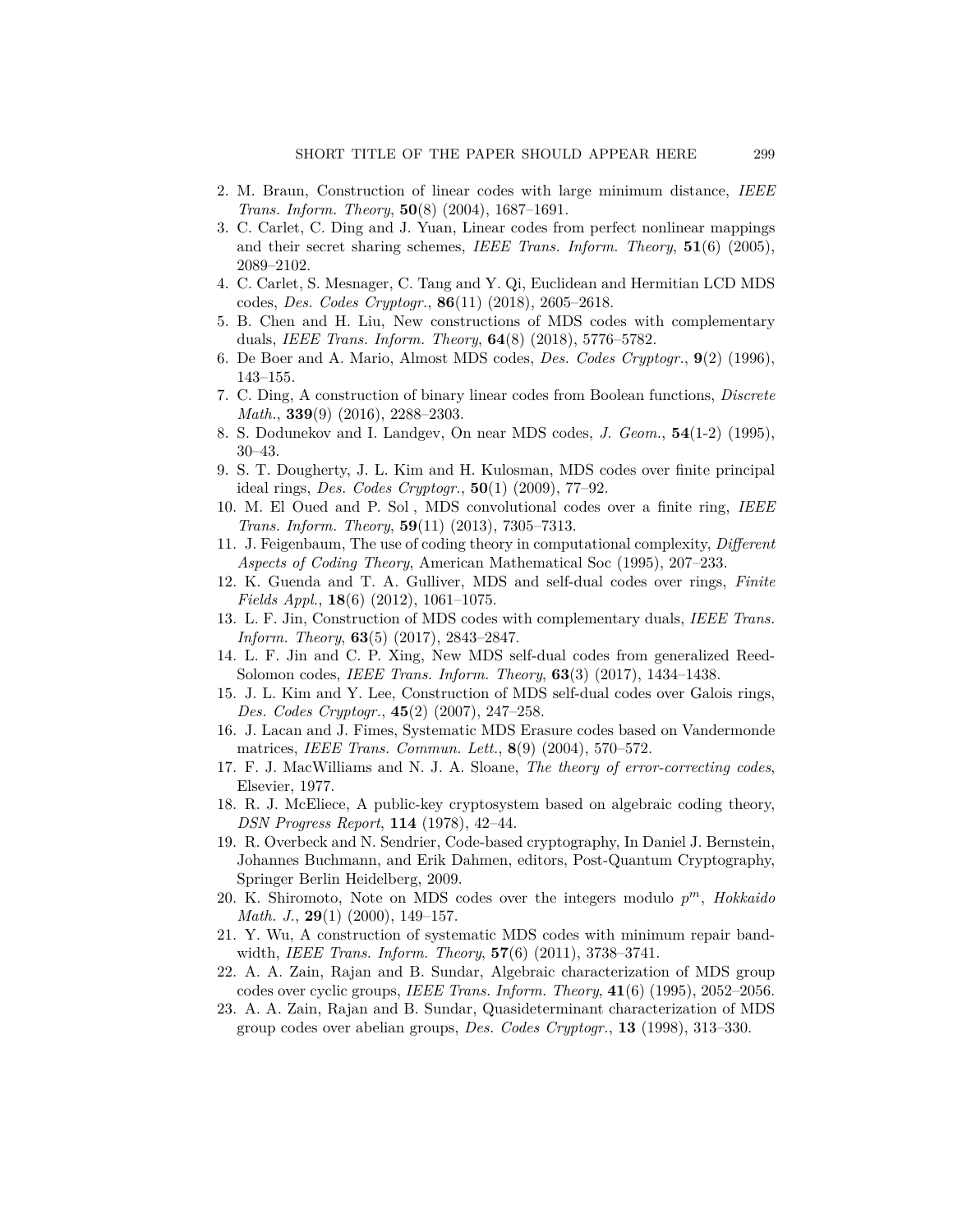- <span id="page-8-12"></span>2. M. Braun, Construction of linear codes with large minimum distance, *IEEE Trans. Inform. Theory*, **50**(8) (2004), 1687–1691.
- <span id="page-8-3"></span>3. C. Carlet, C. Ding and J. Yuan, Linear codes from perfect nonlinear mappings and their secret sharing schemes, *IEEE Trans. Inform. Theory*, **51**(6) (2005), 2089–2102.
- 4. C. Carlet, S. Mesnager, C. Tang and Y. Qi, Euclidean and Hermitian LCD MDS codes, *Des. Codes Cryptogr.*, **86**(11) (2018), 2605–2618.
- <span id="page-8-14"></span>5. B. Chen and H. Liu, New constructions of MDS codes with complementary duals, *IEEE Trans. Inform. Theory*, **64**(8) (2018), 5776–5782.
- <span id="page-8-17"></span>6. De Boer and A. Mario, Almost MDS codes, *Des. Codes Cryptogr.*, **9**(2) (1996), 143–155.
- <span id="page-8-13"></span>7. C. Ding, A construction of binary linear codes from Boolean functions, *Discrete Math.*, **339**(9) (2016), 2288–2303.
- <span id="page-8-18"></span>8. S. Dodunekov and I. Landgev, On near MDS codes, *J. Geom.*, **54**(1-2) (1995), 30–43.
- <span id="page-8-8"></span>9. S. T. Dougherty, J. L. Kim and H. Kulosman, MDS codes over finite principal ideal rings, *Des. Codes Cryptogr.*, **50**(1) (2009), 77–92.
- <span id="page-8-10"></span>10. M. El Oued and P. Sol, MDS convolutional codes over a finite ring, *IEEE Trans. Inform. Theory*, **59**(11) (2013), 7305–7313.
- <span id="page-8-2"></span>11. J. Feigenbaum, The use of coding theory in computational complexity, *Different Aspects of Coding Theory*, American Mathematical Soc (1995), 207–233.
- <span id="page-8-6"></span>12. K. Guenda and T. A. Gulliver, MDS and self-dual codes over rings, *Finite Fields Appl.*, **18**(6) (2012), 1061–1075.
- 13. L. F. Jin, Construction of MDS codes with complementary duals, *IEEE Trans. Inform. Theory*, **63**(5) (2017), 2843–2847.
- <span id="page-8-19"></span>14. L. F. Jin and C. P. Xing, New MDS self-dual codes from generalized Reed-Solomon codes, *IEEE Trans. Inform. Theory*, **63**(3) (2017), 1434–1438.
- <span id="page-8-7"></span>15. J. L. Kim and Y. Lee, Construction of MDS self-dual codes over Galois rings, *Des. Codes Cryptogr.*, **45**(2) (2007), 247–258.
- <span id="page-8-15"></span>16. J. Lacan and J. Fimes, Systematic MDS Erasure codes based on Vandermonde matrices, *IEEE Trans. Commun. Lett.*, **8**(9) (2004), 570–572.
- <span id="page-8-16"></span>17. F. J. MacWilliams and N. J. A. Sloane, *The theory of error-correcting codes*, Elsevier, 1977.
- <span id="page-8-0"></span>18. R. J. McEliece, A public-key cryptosystem based on algebraic coding theory, *DSN Progress Report*, **114** (1978), 42–44.
- <span id="page-8-1"></span>19. R. Overbeck and N. Sendrier, Code-based cryptography, In Daniel J. Bernstein, Johannes Buchmann, and Erik Dahmen, editors, Post-Quantum Cryptography, Springer Berlin Heidelberg, 2009.
- <span id="page-8-9"></span>20. K. Shiromoto, Note on MDS codes over the integers modulo *p <sup>m</sup>*, *Hokkaido Math. J.*, **29**(1) (2000), 149–157.
- <span id="page-8-11"></span>21. Y. Wu, A construction of systematic MDS codes with minimum repair bandwidth, *IEEE Trans. Inform. Theory*, **57**(6) (2011), 3738–3741.
- <span id="page-8-4"></span>22. A. A. Zain, Rajan and B. Sundar, Algebraic characterization of MDS group codes over cyclic groups, *IEEE Trans. Inform. Theory*, **41**(6) (1995), 2052–2056.
- <span id="page-8-5"></span>23. A. A. Zain, Rajan and B. Sundar, Quasideterminant characterization of MDS group codes over abelian groups, *Des. Codes Cryptogr.*, **13** (1998), 313–330.